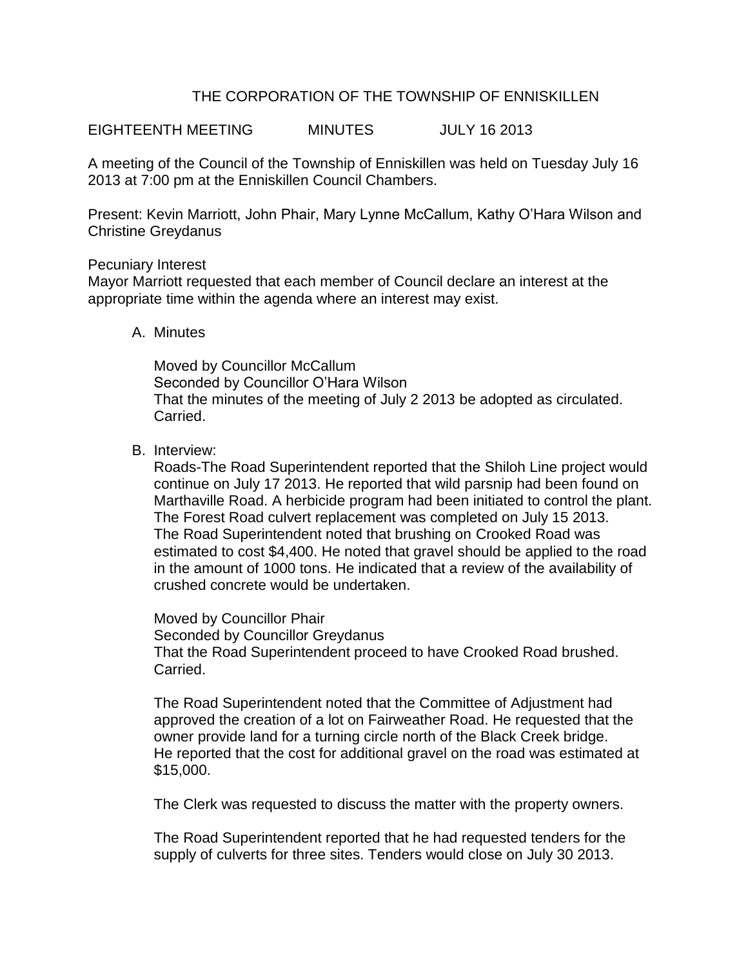# THE CORPORATION OF THE TOWNSHIP OF ENNISKILLEN

EIGHTEENTH MEETING MINUTES JULY 16 2013

A meeting of the Council of the Township of Enniskillen was held on Tuesday July 16 2013 at 7:00 pm at the Enniskillen Council Chambers.

Present: Kevin Marriott, John Phair, Mary Lynne McCallum, Kathy O'Hara Wilson and Christine Greydanus

#### Pecuniary Interest

Mayor Marriott requested that each member of Council declare an interest at the appropriate time within the agenda where an interest may exist.

#### A. Minutes

Moved by Councillor McCallum Seconded by Councillor O'Hara Wilson That the minutes of the meeting of July 2 2013 be adopted as circulated. Carried.

B. Interview:

Roads-The Road Superintendent reported that the Shiloh Line project would continue on July 17 2013. He reported that wild parsnip had been found on Marthaville Road. A herbicide program had been initiated to control the plant. The Forest Road culvert replacement was completed on July 15 2013. The Road Superintendent noted that brushing on Crooked Road was estimated to cost \$4,400. He noted that gravel should be applied to the road in the amount of 1000 tons. He indicated that a review of the availability of crushed concrete would be undertaken.

Moved by Councillor Phair Seconded by Councillor Greydanus That the Road Superintendent proceed to have Crooked Road brushed. Carried.

The Road Superintendent noted that the Committee of Adjustment had approved the creation of a lot on Fairweather Road. He requested that the owner provide land for a turning circle north of the Black Creek bridge. He reported that the cost for additional gravel on the road was estimated at \$15,000.

The Clerk was requested to discuss the matter with the property owners.

The Road Superintendent reported that he had requested tenders for the supply of culverts for three sites. Tenders would close on July 30 2013.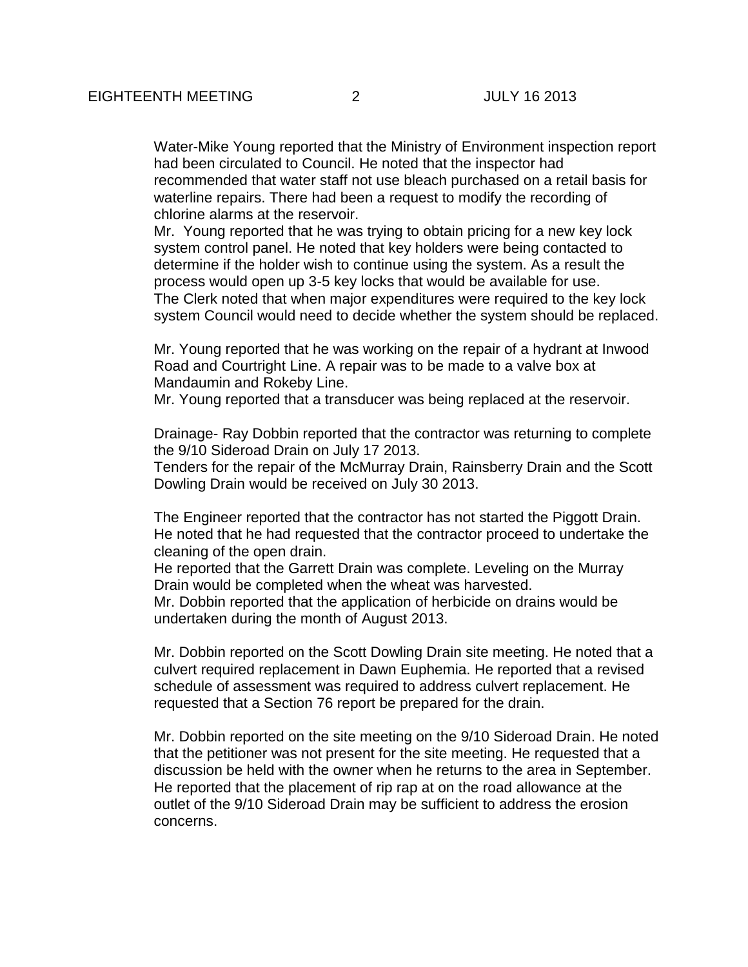Water-Mike Young reported that the Ministry of Environment inspection report had been circulated to Council. He noted that the inspector had recommended that water staff not use bleach purchased on a retail basis for waterline repairs. There had been a request to modify the recording of chlorine alarms at the reservoir.

Mr. Young reported that he was trying to obtain pricing for a new key lock system control panel. He noted that key holders were being contacted to determine if the holder wish to continue using the system. As a result the process would open up 3-5 key locks that would be available for use. The Clerk noted that when major expenditures were required to the key lock system Council would need to decide whether the system should be replaced.

Mr. Young reported that he was working on the repair of a hydrant at Inwood Road and Courtright Line. A repair was to be made to a valve box at Mandaumin and Rokeby Line.

Mr. Young reported that a transducer was being replaced at the reservoir.

Drainage- Ray Dobbin reported that the contractor was returning to complete the 9/10 Sideroad Drain on July 17 2013. Tenders for the repair of the McMurray Drain, Rainsberry Drain and the Scott

Dowling Drain would be received on July 30 2013.

The Engineer reported that the contractor has not started the Piggott Drain. He noted that he had requested that the contractor proceed to undertake the cleaning of the open drain.

He reported that the Garrett Drain was complete. Leveling on the Murray Drain would be completed when the wheat was harvested.

Mr. Dobbin reported that the application of herbicide on drains would be undertaken during the month of August 2013.

Mr. Dobbin reported on the Scott Dowling Drain site meeting. He noted that a culvert required replacement in Dawn Euphemia. He reported that a revised schedule of assessment was required to address culvert replacement. He requested that a Section 76 report be prepared for the drain.

Mr. Dobbin reported on the site meeting on the 9/10 Sideroad Drain. He noted that the petitioner was not present for the site meeting. He requested that a discussion be held with the owner when he returns to the area in September. He reported that the placement of rip rap at on the road allowance at the outlet of the 9/10 Sideroad Drain may be sufficient to address the erosion concerns.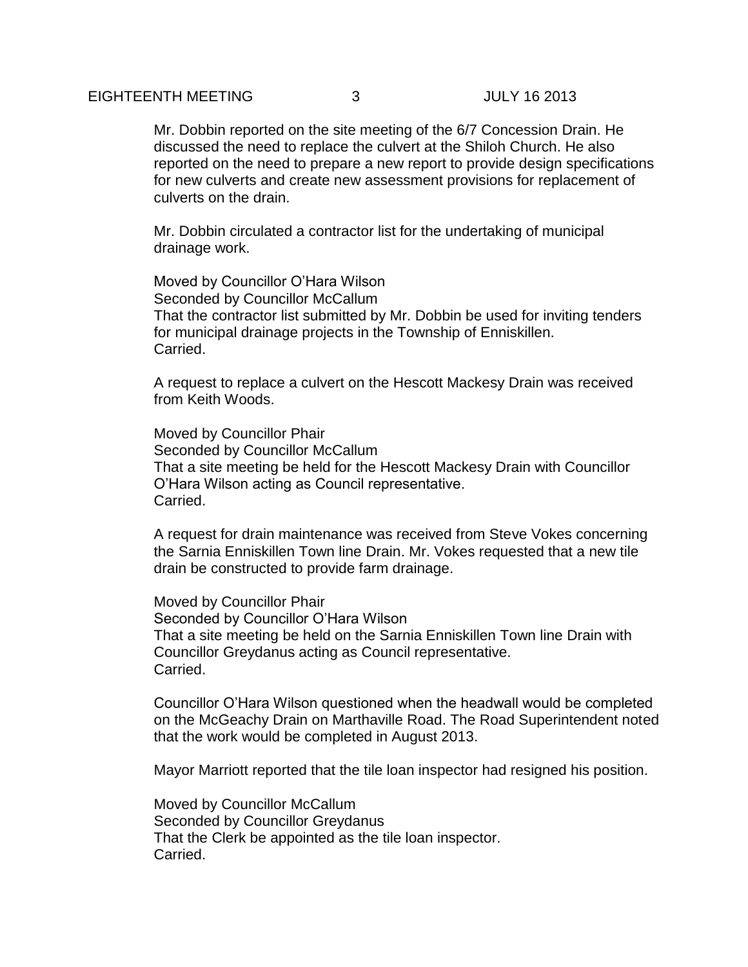### EIGHTEENTH MEETING 3 JULY 16 2013

Mr. Dobbin reported on the site meeting of the 6/7 Concession Drain. He discussed the need to replace the culvert at the Shiloh Church. He also reported on the need to prepare a new report to provide design specifications for new culverts and create new assessment provisions for replacement of culverts on the drain.

Mr. Dobbin circulated a contractor list for the undertaking of municipal drainage work.

Moved by Councillor O'Hara Wilson Seconded by Councillor McCallum That the contractor list submitted by Mr. Dobbin be used for inviting tenders for municipal drainage projects in the Township of Enniskillen. Carried.

A request to replace a culvert on the Hescott Mackesy Drain was received from Keith Woods.

Moved by Councillor Phair Seconded by Councillor McCallum That a site meeting be held for the Hescott Mackesy Drain with Councillor O'Hara Wilson acting as Council representative. Carried.

A request for drain maintenance was received from Steve Vokes concerning the Sarnia Enniskillen Town line Drain. Mr. Vokes requested that a new tile drain be constructed to provide farm drainage.

Moved by Councillor Phair Seconded by Councillor O'Hara Wilson That a site meeting be held on the Sarnia Enniskillen Town line Drain with Councillor Greydanus acting as Council representative. Carried.

Councillor O'Hara Wilson questioned when the headwall would be completed on the McGeachy Drain on Marthaville Road. The Road Superintendent noted that the work would be completed in August 2013.

Mayor Marriott reported that the tile loan inspector had resigned his position.

Moved by Councillor McCallum Seconded by Councillor Greydanus That the Clerk be appointed as the tile loan inspector. Carried.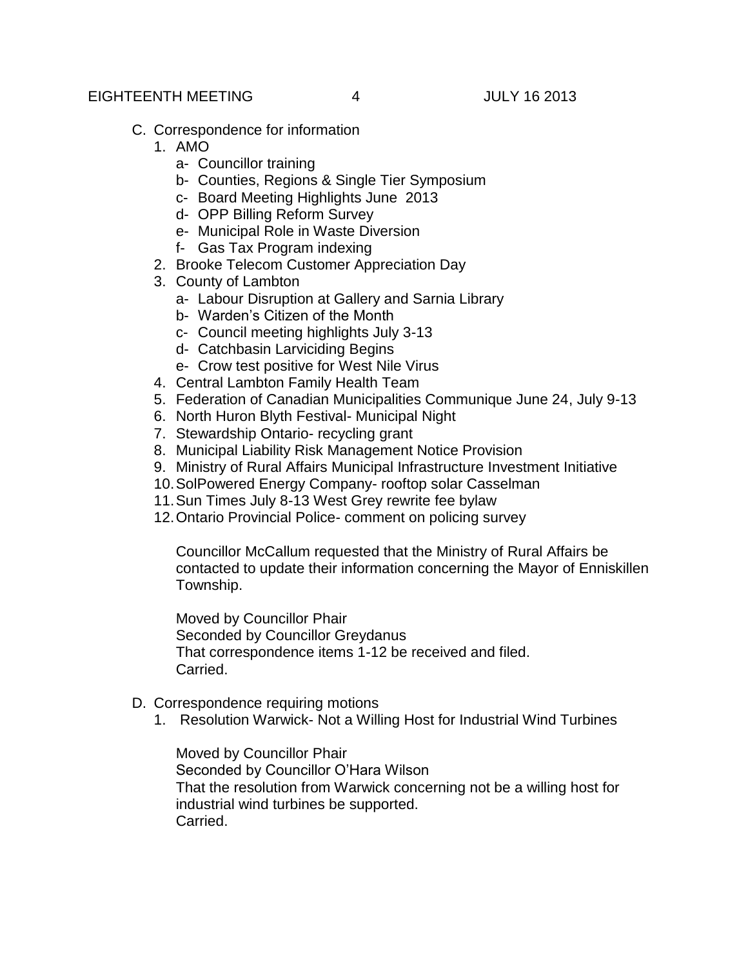### EIGHTEENTH MEETING 4 JULY 16 2013

- C. Correspondence for information
	- 1. AMO
		- a- Councillor training
		- b- Counties, Regions & Single Tier Symposium
		- c- Board Meeting Highlights June 2013
		- d- OPP Billing Reform Survey
		- e- Municipal Role in Waste Diversion
		- f- Gas Tax Program indexing
	- 2. Brooke Telecom Customer Appreciation Day
	- 3. County of Lambton
		- a- Labour Disruption at Gallery and Sarnia Library
		- b- Warden's Citizen of the Month
		- c- Council meeting highlights July 3-13
		- d- Catchbasin Larviciding Begins
		- e- Crow test positive for West Nile Virus
	- 4. Central Lambton Family Health Team
	- 5. Federation of Canadian Municipalities Communique June 24, July 9-13
	- 6. North Huron Blyth Festival- Municipal Night
	- 7. Stewardship Ontario- recycling grant
	- 8. Municipal Liability Risk Management Notice Provision
	- 9. Ministry of Rural Affairs Municipal Infrastructure Investment Initiative
	- 10.SolPowered Energy Company- rooftop solar Casselman
	- 11.Sun Times July 8-13 West Grey rewrite fee bylaw
	- 12.Ontario Provincial Police- comment on policing survey

Councillor McCallum requested that the Ministry of Rural Affairs be contacted to update their information concerning the Mayor of Enniskillen Township.

Moved by Councillor Phair Seconded by Councillor Greydanus That correspondence items 1-12 be received and filed. Carried.

- D. Correspondence requiring motions
	- 1. Resolution Warwick- Not a Willing Host for Industrial Wind Turbines

Moved by Councillor Phair Seconded by Councillor O'Hara Wilson That the resolution from Warwick concerning not be a willing host for industrial wind turbines be supported. Carried.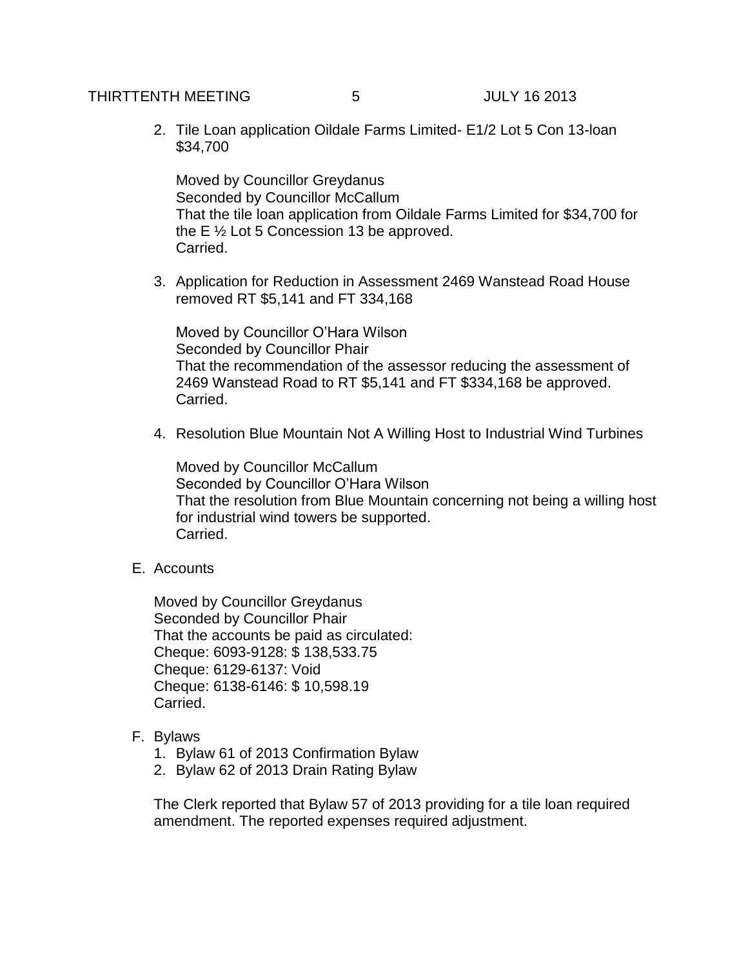# THIRTTENTH MEETING 5 JULY 16 2013

2. Tile Loan application Oildale Farms Limited- E1/2 Lot 5 Con 13-loan \$34,700

Moved by Councillor Greydanus Seconded by Councillor McCallum That the tile loan application from Oildale Farms Limited for \$34,700 for the E ½ Lot 5 Concession 13 be approved. Carried.

3. Application for Reduction in Assessment 2469 Wanstead Road House removed RT \$5,141 and FT 334,168

Moved by Councillor O'Hara Wilson Seconded by Councillor Phair That the recommendation of the assessor reducing the assessment of 2469 Wanstead Road to RT \$5,141 and FT \$334,168 be approved. Carried.

4. Resolution Blue Mountain Not A Willing Host to Industrial Wind Turbines

Moved by Councillor McCallum Seconded by Councillor O'Hara Wilson That the resolution from Blue Mountain concerning not being a willing host for industrial wind towers be supported. Carried.

E. Accounts

Moved by Councillor Greydanus Seconded by Councillor Phair That the accounts be paid as circulated: Cheque: 6093-9128: \$ 138,533.75 Cheque: 6129-6137: Void Cheque: 6138-6146: \$ 10,598.19 Carried.

- F. Bylaws
	- 1. Bylaw 61 of 2013 Confirmation Bylaw
	- 2. Bylaw 62 of 2013 Drain Rating Bylaw

The Clerk reported that Bylaw 57 of 2013 providing for a tile loan required amendment. The reported expenses required adjustment.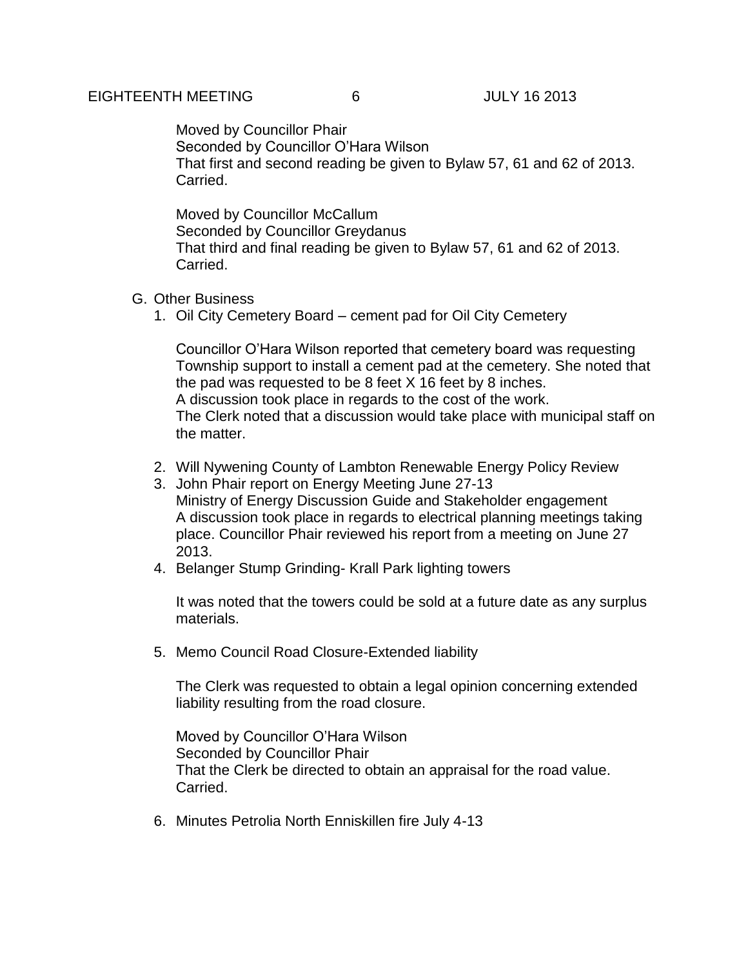Moved by Councillor Phair Seconded by Councillor O'Hara Wilson That first and second reading be given to Bylaw 57, 61 and 62 of 2013. Carried.

Moved by Councillor McCallum Seconded by Councillor Greydanus That third and final reading be given to Bylaw 57, 61 and 62 of 2013. Carried.

- G. Other Business
	- 1. Oil City Cemetery Board cement pad for Oil City Cemetery

Councillor O'Hara Wilson reported that cemetery board was requesting Township support to install a cement pad at the cemetery. She noted that the pad was requested to be 8 feet X 16 feet by 8 inches. A discussion took place in regards to the cost of the work. The Clerk noted that a discussion would take place with municipal staff on the matter.

- 2. Will Nywening County of Lambton Renewable Energy Policy Review
- 3. John Phair report on Energy Meeting June 27-13 Ministry of Energy Discussion Guide and Stakeholder engagement A discussion took place in regards to electrical planning meetings taking place. Councillor Phair reviewed his report from a meeting on June 27 2013.
- 4. Belanger Stump Grinding- Krall Park lighting towers

It was noted that the towers could be sold at a future date as any surplus materials.

5. Memo Council Road Closure-Extended liability

The Clerk was requested to obtain a legal opinion concerning extended liability resulting from the road closure.

Moved by Councillor O'Hara Wilson Seconded by Councillor Phair That the Clerk be directed to obtain an appraisal for the road value. Carried.

6. Minutes Petrolia North Enniskillen fire July 4-13